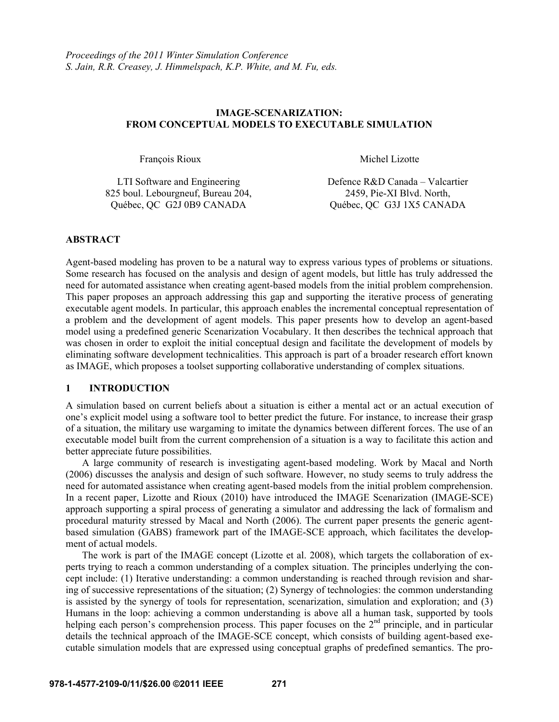### **IMAGE-SCENARIZATION: FROM CONCEPTUAL MODELS TO EXECUTABLE SIMULATION**

François Rioux Michel Lizotte

| LTI Software and Engineering       | Defence R&D Canada – Valcartier |
|------------------------------------|---------------------------------|
| 825 boul. Lebourgneuf, Bureau 204, | 2459, Pie-XI Blvd. North,       |
| Québec, QC G2J 0B9 CANADA          | Québec, QC G3J 1X5 CANADA       |

### **ABSTRACT**

Agent-based modeling has proven to be a natural way to express various types of problems or situations. Some research has focused on the analysis and design of agent models, but little has truly addressed the need for automated assistance when creating agent-based models from the initial problem comprehension. This paper proposes an approach addressing this gap and supporting the iterative process of generating executable agent models. In particular, this approach enables the incremental conceptual representation of a problem and the development of agent models. This paper presents how to develop an agent-based model using a predefined generic Scenarization Vocabulary. It then describes the technical approach that was chosen in order to exploit the initial conceptual design and facilitate the development of models by eliminating software development technicalities. This approach is part of a broader research effort known as IMAGE, which proposes a toolset supporting collaborative understanding of complex situations.

### **1 INTRODUCTION**

A simulation based on current beliefs about a situation is either a mental act or an actual execution of one's explicit model using a software tool to better predict the future. For instance, to increase their grasp of a situation, the military use wargaming to imitate the dynamics between different forces. The use of an executable model built from the current comprehension of a situation is a way to facilitate this action and better appreciate future possibilities.

A large community of research is investigating agent-based modeling. Work by Macal and North (2006) discusses the analysis and design of such software. However, no study seems to truly address the need for automated assistance when creating agent-based models from the initial problem comprehension. In a recent paper, Lizotte and Rioux (2010) have introduced the IMAGE Scenarization (IMAGE-SCE) approach supporting a spiral process of generating a simulator and addressing the lack of formalism and procedural maturity stressed by Macal and North (2006). The current paper presents the generic agentbased simulation (GABS) framework part of the IMAGE-SCE approach, which facilitates the development of actual models.

The work is part of the IMAGE concept (Lizotte et al. 2008), which targets the collaboration of experts trying to reach a common understanding of a complex situation. The principles underlying the concept include: (1) Iterative understanding: a common understanding is reached through revision and sharing of successive representations of the situation; (2) Synergy of technologies: the common understanding is assisted by the synergy of tools for representation, scenarization, simulation and exploration; and (3) Humans in the loop: achieving a common understanding is above all a human task, supported by tools helping each person's comprehension process. This paper focuses on the 2<sup>nd</sup> principle, and in particular details the technical approach of the IMAGE-SCE concept, which consists of building agent-based executable simulation models that are expressed using conceptual graphs of predefined semantics. The pro-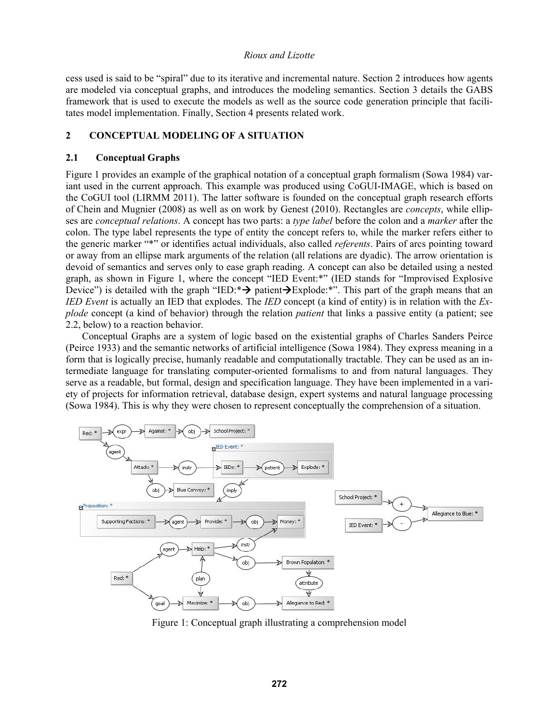cess used is said to be "spiral" due to its iterative and incremental nature. Section 2 introduces how agents are modeled via conceptual graphs, and introduces the modeling semantics. Section 3 details the GABS framework that is used to execute the models as well as the source code generation principle that facilitates model implementation. Finally, Section 4 presents related work.

# **2 CONCEPTUAL MODELING OF A SITUATION**

### **2.1 Conceptual Graphs**

Figure 1 provides an example of the graphical notation of a conceptual graph formalism (Sowa 1984) variant used in the current approach. This example was produced using CoGUI-IMAGE, which is based on the CoGUI tool (LIRMM 2011). The latter software is founded on the conceptual graph research efforts of Chein and Mugnier (2008) as well as on work by Genest (2010). Rectangles are *concepts*, while ellipses are *conceptual relations*. A concept has two parts: a *type label* before the colon and a *marker* after the colon. The type label represents the type of entity the concept refers to, while the marker refers either to the generic marker "\*" or identifies actual individuals, also called *referents*. Pairs of arcs pointing toward or away from an ellipse mark arguments of the relation (all relations are dyadic). The arrow orientation is devoid of semantics and serves only to ease graph reading. A concept can also be detailed using a nested graph, as shown in Figure 1, where the concept "IED Event:\*" (IED stands for "Improvised Explosive Device") is detailed with the graph "IED:  $\rightarrow$  patient  $\rightarrow$  Explode: \*". This part of the graph means that an *IED Event* is actually an IED that explodes. The *IED* concept (a kind of entity) is in relation with the *Explode* concept (a kind of behavior) through the relation *patient* that links a passive entity (a patient; see 2.2, below) to a reaction behavior.

Conceptual Graphs are a system of logic based on the existential graphs of Charles Sanders Peirce (Peirce 1933) and the semantic networks of artificial intelligence (Sowa 1984). They express meaning in a form that is logically precise, humanly readable and computationally tractable. They can be used as an intermediate language for translating computer-oriented formalisms to and from natural languages. They serve as a readable, but formal, design and specification language. They have been implemented in a variety of projects for information retrieval, database design, expert systems and natural language processing (Sowa 1984). This is why they were chosen to represent conceptually the comprehension of a situation.



Figure 1: Conceptual graph illustrating a comprehension model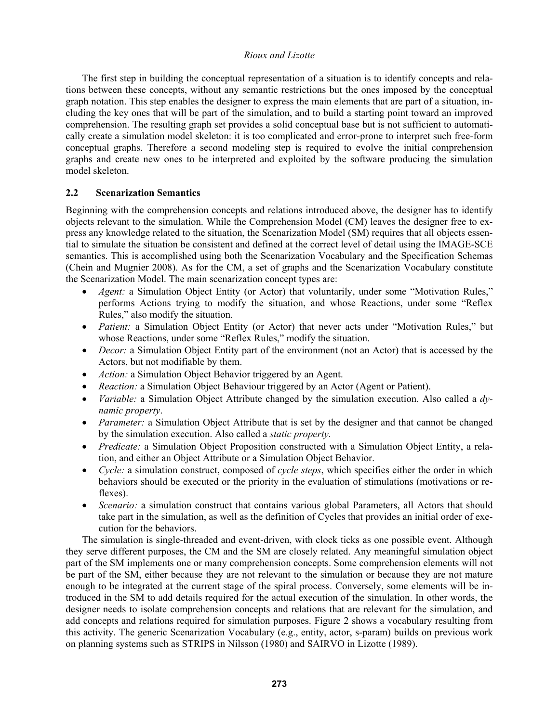The first step in building the conceptual representation of a situation is to identify concepts and relations between these concepts, without any semantic restrictions but the ones imposed by the conceptual graph notation. This step enables the designer to express the main elements that are part of a situation, including the key ones that will be part of the simulation, and to build a starting point toward an improved comprehension. The resulting graph set provides a solid conceptual base but is not sufficient to automatically create a simulation model skeleton: it is too complicated and error-prone to interpret such free-form conceptual graphs. Therefore a second modeling step is required to evolve the initial comprehension graphs and create new ones to be interpreted and exploited by the software producing the simulation model skeleton.

# **2.2 Scenarization Semantics**

Beginning with the comprehension concepts and relations introduced above, the designer has to identify objects relevant to the simulation. While the Comprehension Model (CM) leaves the designer free to express any knowledge related to the situation, the Scenarization Model (SM) requires that all objects essential to simulate the situation be consistent and defined at the correct level of detail using the IMAGE-SCE semantics. This is accomplished using both the Scenarization Vocabulary and the Specification Schemas (Chein and Mugnier 2008). As for the CM, a set of graphs and the Scenarization Vocabulary constitute the Scenarization Model. The main scenarization concept types are:

- *Agent:* a Simulation Object Entity (or Actor) that voluntarily, under some "Motivation Rules," performs Actions trying to modify the situation, and whose Reactions, under some "Reflex Rules," also modify the situation.
- *Patient:* a Simulation Object Entity (or Actor) that never acts under "Motivation Rules," but whose Reactions, under some "Reflex Rules," modify the situation.
- *Decor:* a Simulation Object Entity part of the environment (not an Actor) that is accessed by the Actors, but not modifiable by them.
- *Action:* a Simulation Object Behavior triggered by an Agent.
- *Reaction:* a Simulation Object Behaviour triggered by an Actor (Agent or Patient).
- *Variable:* a Simulation Object Attribute changed by the simulation execution. Also called a *dynamic property*.
- *Parameter:* a Simulation Object Attribute that is set by the designer and that cannot be changed by the simulation execution. Also called a *static property*.
- *Predicate:* a Simulation Object Proposition constructed with a Simulation Object Entity, a relation, and either an Object Attribute or a Simulation Object Behavior.
- *Cycle:* a simulation construct, composed of *cycle steps*, which specifies either the order in which behaviors should be executed or the priority in the evaluation of stimulations (motivations or reflexes).
- *Scenario:* a simulation construct that contains various global Parameters, all Actors that should take part in the simulation, as well as the definition of Cycles that provides an initial order of execution for the behaviors.

The simulation is single-threaded and event-driven, with clock ticks as one possible event. Although they serve different purposes, the CM and the SM are closely related. Any meaningful simulation object part of the SM implements one or many comprehension concepts. Some comprehension elements will not be part of the SM, either because they are not relevant to the simulation or because they are not mature enough to be integrated at the current stage of the spiral process. Conversely, some elements will be introduced in the SM to add details required for the actual execution of the simulation. In other words, the designer needs to isolate comprehension concepts and relations that are relevant for the simulation, and add concepts and relations required for simulation purposes. Figure 2 shows a vocabulary resulting from this activity. The generic Scenarization Vocabulary (e.g., entity, actor, s-param) builds on previous work on planning systems such as STRIPS in Nilsson (1980) and SAIRVO in Lizotte (1989).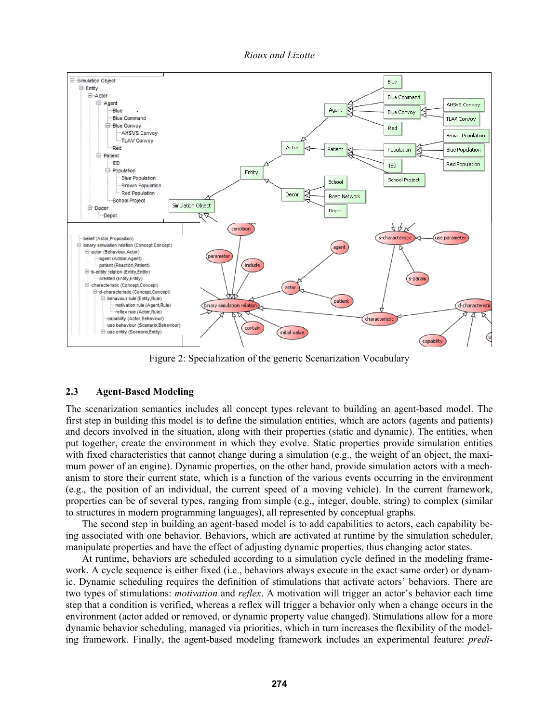

Figure 2: Specialization of the generic Scenarization Vocabulary

## **2.3 Agent-Based Modeling**

The scenarization semantics includes all concept types relevant to building an agent-based model. The first step in building this model is to define the simulation entities, which are actors (agents and patients) and decors involved in the situation, along with their properties (static and dynamic). The entities, when put together, create the environment in which they evolve. Static properties provide simulation entities with fixed characteristics that cannot change during a simulation (e.g., the weight of an object, the maximum power of an engine). Dynamic properties, on the other hand, provide simulation actors with a mechanism to store their current state, which is a function of the various events occurring in the environment (e.g., the position of an individual, the current speed of a moving vehicle). In the current framework, properties can be of several types, ranging from simple (e.g., integer, double, string) to complex (similar to structures in modern programming languages), all represented by conceptual graphs.

The second step in building an agent-based model is to add capabilities to actors, each capability being associated with one behavior. Behaviors, which are activated at runtime by the simulation scheduler, manipulate properties and have the effect of adjusting dynamic properties, thus changing actor states.

At runtime, behaviors are scheduled according to a simulation cycle defined in the modeling framework. A cycle sequence is either fixed (i.e., behaviors always execute in the exact same order) or dynamic. Dynamic scheduling requires the definition of stimulations that activate actors' behaviors. There are two types of stimulations: *motivation* and *reflex*. A motivation will trigger an actor's behavior each time step that a condition is verified, whereas a reflex will trigger a behavior only when a change occurs in the environment (actor added or removed, or dynamic property value changed). Stimulations allow for a more dynamic behavior scheduling, managed via priorities, which in turn increases the flexibility of the modeling framework. Finally, the agent-based modeling framework includes an experimental feature: *predi-*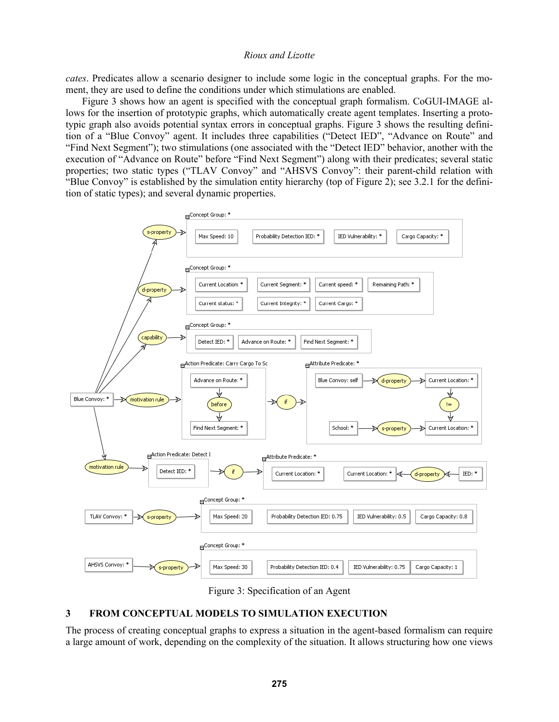*cates*. Predicates allow a scenario designer to include some logic in the conceptual graphs. For the moment, they are used to define the conditions under which stimulations are enabled.

Figure 3 shows how an agent is specified with the conceptual graph formalism. CoGUI-IMAGE allows for the insertion of prototypic graphs, which automatically create agent templates. Inserting a prototypic graph also avoids potential syntax errors in conceptual graphs. Figure 3 shows the resulting definition of a "Blue Convoy" agent. It includes three capabilities ("Detect IED", "Advance on Route" and "Find Next Segment"); two stimulations (one associated with the "Detect IED" behavior, another with the execution of "Advance on Route" before "Find Next Segment") along with their predicates; several static properties; two static types ("TLAV Convoy" and "AHSVS Convoy": their parent-child relation with "Blue Convoy" is established by the simulation entity hierarchy (top of Figure 2); see 3.2.1 for the definition of static types); and several dynamic properties.



Figure 3: Specification of an Agent

# **3 FROM CONCEPTUAL MODELS TO SIMULATION EXECUTION**

The process of creating conceptual graphs to express a situation in the agent-based formalism can require a large amount of work, depending on the complexity of the situation. It allows structuring how one views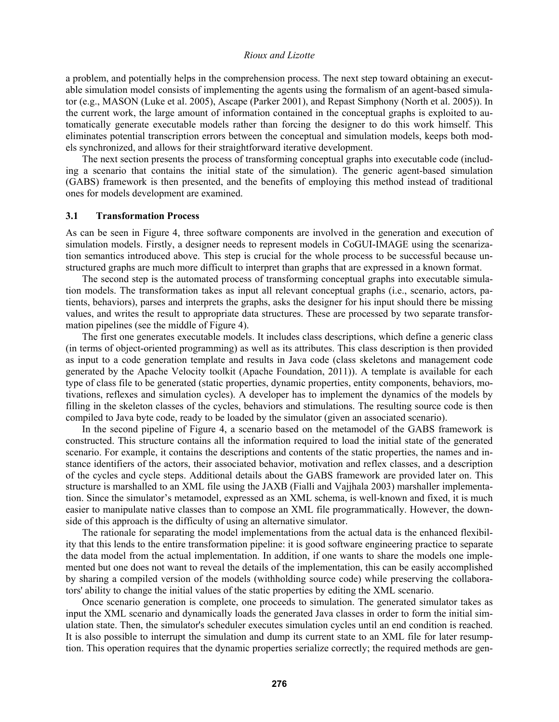a problem, and potentially helps in the comprehension process. The next step toward obtaining an executable simulation model consists of implementing the agents using the formalism of an agent-based simulator (e.g., MASON (Luke et al. 2005), Ascape (Parker 2001), and Repast Simphony (North et al. 2005)). In the current work, the large amount of information contained in the conceptual graphs is exploited to automatically generate executable models rather than forcing the designer to do this work himself. This eliminates potential transcription errors between the conceptual and simulation models, keeps both models synchronized, and allows for their straightforward iterative development.

The next section presents the process of transforming conceptual graphs into executable code (including a scenario that contains the initial state of the simulation). The generic agent-based simulation (GABS) framework is then presented, and the benefits of employing this method instead of traditional ones for models development are examined.

#### **3.1 Transformation Process**

As can be seen in Figure 4, three software components are involved in the generation and execution of simulation models. Firstly, a designer needs to represent models in CoGUI-IMAGE using the scenarization semantics introduced above. This step is crucial for the whole process to be successful because unstructured graphs are much more difficult to interpret than graphs that are expressed in a known format.

The second step is the automated process of transforming conceptual graphs into executable simulation models. The transformation takes as input all relevant conceptual graphs (i.e., scenario, actors, patients, behaviors), parses and interprets the graphs, asks the designer for his input should there be missing values, and writes the result to appropriate data structures. These are processed by two separate transformation pipelines (see the middle of Figure 4).

The first one generates executable models. It includes class descriptions, which define a generic class (in terms of object-oriented programming) as well as its attributes. This class description is then provided as input to a code generation template and results in Java code (class skeletons and management code generated by the Apache Velocity toolkit (Apache Foundation, 2011)). A template is available for each type of class file to be generated (static properties, dynamic properties, entity components, behaviors, motivations, reflexes and simulation cycles). A developer has to implement the dynamics of the models by filling in the skeleton classes of the cycles, behaviors and stimulations. The resulting source code is then compiled to Java byte code, ready to be loaded by the simulator (given an associated scenario).

In the second pipeline of Figure 4, a scenario based on the metamodel of the GABS framework is constructed. This structure contains all the information required to load the initial state of the generated scenario. For example, it contains the descriptions and contents of the static properties, the names and instance identifiers of the actors, their associated behavior, motivation and reflex classes, and a description of the cycles and cycle steps. Additional details about the GABS framework are provided later on. This structure is marshalled to an XML file using the JAXB (Fialli and Vajjhala 2003) marshaller implementation. Since the simulator's metamodel, expressed as an XML schema, is well-known and fixed, it is much easier to manipulate native classes than to compose an XML file programmatically. However, the downside of this approach is the difficulty of using an alternative simulator.

The rationale for separating the model implementations from the actual data is the enhanced flexibility that this lends to the entire transformation pipeline: it is good software engineering practice to separate the data model from the actual implementation. In addition, if one wants to share the models one implemented but one does not want to reveal the details of the implementation, this can be easily accomplished by sharing a compiled version of the models (withholding source code) while preserving the collaborators' ability to change the initial values of the static properties by editing the XML scenario.

Once scenario generation is complete, one proceeds to simulation. The generated simulator takes as input the XML scenario and dynamically loads the generated Java classes in order to form the initial simulation state. Then, the simulator's scheduler executes simulation cycles until an end condition is reached. It is also possible to interrupt the simulation and dump its current state to an XML file for later resumption. This operation requires that the dynamic properties serialize correctly; the required methods are gen-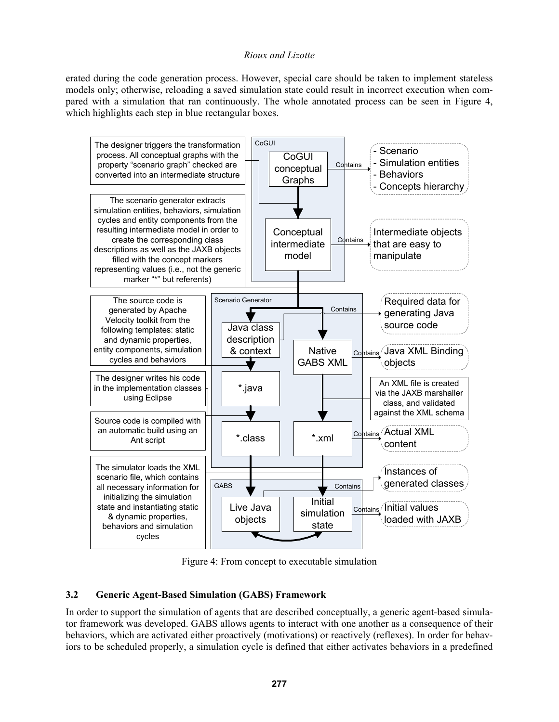erated during the code generation process. However, special care should be taken to implement stateless models only; otherwise, reloading a saved simulation state could result in incorrect execution when compared with a simulation that ran continuously. The whole annotated process can be seen in Figure 4, which highlights each step in blue rectangular boxes.



Figure 4: From concept to executable simulation

# **3.2 Generic Agent-Based Simulation (GABS) Framework**

In order to support the simulation of agents that are described conceptually, a generic agent-based simulator framework was developed. GABS allows agents to interact with one another as a consequence of their behaviors, which are activated either proactively (motivations) or reactively (reflexes). In order for behaviors to be scheduled properly, a simulation cycle is defined that either activates behaviors in a predefined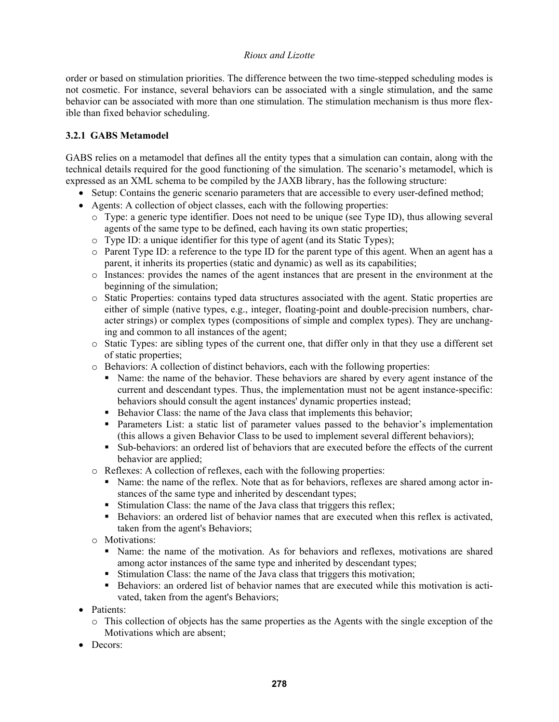order or based on stimulation priorities. The difference between the two time-stepped scheduling modes is not cosmetic. For instance, several behaviors can be associated with a single stimulation, and the same behavior can be associated with more than one stimulation. The stimulation mechanism is thus more flexible than fixed behavior scheduling.

# **3.2.1 GABS Metamodel**

GABS relies on a metamodel that defines all the entity types that a simulation can contain, along with the technical details required for the good functioning of the simulation. The scenario's metamodel, which is expressed as an XML schema to be compiled by the JAXB library, has the following structure:

- Setup: Contains the generic scenario parameters that are accessible to every user-defined method;
- Agents: A collection of object classes, each with the following properties:
	- o Type: a generic type identifier. Does not need to be unique (see Type ID), thus allowing several agents of the same type to be defined, each having its own static properties;
	- o Type ID: a unique identifier for this type of agent (and its Static Types);
	- o Parent Type ID: a reference to the type ID for the parent type of this agent. When an agent has a parent, it inherits its properties (static and dynamic) as well as its capabilities;
	- $\circ$  Instances: provides the names of the agent instances that are present in the environment at the beginning of the simulation;
	- o Static Properties: contains typed data structures associated with the agent. Static properties are either of simple (native types, e.g., integer, floating-point and double-precision numbers, character strings) or complex types (compositions of simple and complex types). They are unchanging and common to all instances of the agent;
	- o Static Types: are sibling types of the current one, that differ only in that they use a different set of static properties;
	- o Behaviors: A collection of distinct behaviors, each with the following properties:
		- Name: the name of the behavior. These behaviors are shared by every agent instance of the current and descendant types. Thus, the implementation must not be agent instance-specific: behaviors should consult the agent instances' dynamic properties instead;
		- Behavior Class: the name of the Java class that implements this behavior;
		- Parameters List: a static list of parameter values passed to the behavior's implementation (this allows a given Behavior Class to be used to implement several different behaviors);
		- Sub-behaviors: an ordered list of behaviors that are executed before the effects of the current behavior are applied;
	- o Reflexes: A collection of reflexes, each with the following properties:
		- Name: the name of the reflex. Note that as for behaviors, reflexes are shared among actor instances of the same type and inherited by descendant types;
		- Stimulation Class: the name of the Java class that triggers this reflex;
		- Behaviors: an ordered list of behavior names that are executed when this reflex is activated, taken from the agent's Behaviors;
	- o Motivations:
		- Name: the name of the motivation. As for behaviors and reflexes, motivations are shared among actor instances of the same type and inherited by descendant types;
		- Stimulation Class: the name of the Java class that triggers this motivation;
		- Behaviors: an ordered list of behavior names that are executed while this motivation is activated, taken from the agent's Behaviors;
- Patients:
	- o This collection of objects has the same properties as the Agents with the single exception of the Motivations which are absent;
- Decors: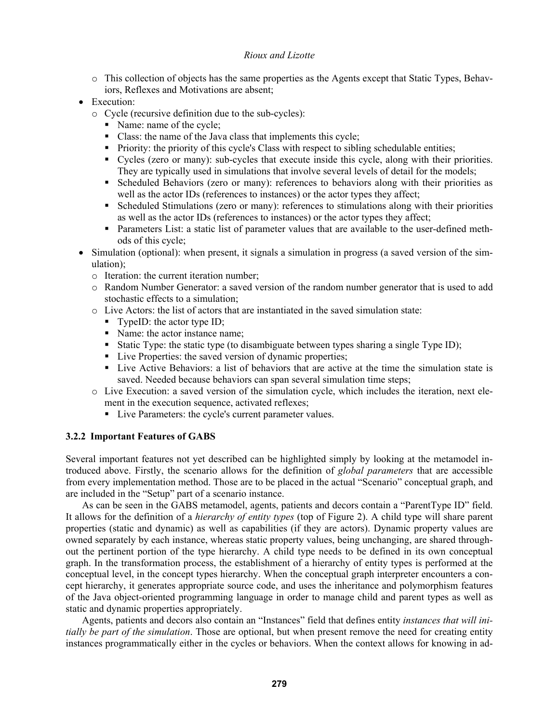- o This collection of objects has the same properties as the Agents except that Static Types, Behaviors, Reflexes and Motivations are absent;
- Execution:
	- o Cycle (recursive definition due to the sub-cycles):
		- Name: name of the cycle;
		- Class: the name of the Java class that implements this cycle;
		- Priority: the priority of this cycle's Class with respect to sibling schedulable entities;
		- Cycles (zero or many): sub-cycles that execute inside this cycle, along with their priorities. They are typically used in simulations that involve several levels of detail for the models;
		- Scheduled Behaviors (zero or many): references to behaviors along with their priorities as well as the actor IDs (references to instances) or the actor types they affect;
		- Scheduled Stimulations (zero or many): references to stimulations along with their priorities as well as the actor IDs (references to instances) or the actor types they affect;
		- Parameters List: a static list of parameter values that are available to the user-defined methods of this cycle;
- Simulation (optional): when present, it signals a simulation in progress (a saved version of the simulation);
	- o Iteration: the current iteration number;
	- o Random Number Generator: a saved version of the random number generator that is used to add stochastic effects to a simulation;
	- $\circ$  Live Actors: the list of actors that are instantiated in the saved simulation state:
		- $\blacksquare$  TypeID: the actor type ID;
		- Name: the actor instance name;
		- Static Type: the static type (to disambiguate between types sharing a single Type ID);
		- Live Properties: the saved version of dynamic properties;
		- Live Active Behaviors: a list of behaviors that are active at the time the simulation state is saved. Needed because behaviors can span several simulation time steps;
	- o Live Execution: a saved version of the simulation cycle, which includes the iteration, next element in the execution sequence, activated reflexes;
		- Live Parameters: the cycle's current parameter values.

## **3.2.2 Important Features of GABS**

Several important features not yet described can be highlighted simply by looking at the metamodel introduced above. Firstly, the scenario allows for the definition of *global parameters* that are accessible from every implementation method. Those are to be placed in the actual "Scenario" conceptual graph, and are included in the "Setup" part of a scenario instance.

As can be seen in the GABS metamodel, agents, patients and decors contain a "ParentType ID" field. It allows for the definition of a *hierarchy of entity types* (top of Figure 2). A child type will share parent properties (static and dynamic) as well as capabilities (if they are actors). Dynamic property values are owned separately by each instance, whereas static property values, being unchanging, are shared throughout the pertinent portion of the type hierarchy. A child type needs to be defined in its own conceptual graph. In the transformation process, the establishment of a hierarchy of entity types is performed at the conceptual level, in the concept types hierarchy. When the conceptual graph interpreter encounters a concept hierarchy, it generates appropriate source code, and uses the inheritance and polymorphism features of the Java object-oriented programming language in order to manage child and parent types as well as static and dynamic properties appropriately.

Agents, patients and decors also contain an "Instances" field that defines entity *instances that will initially be part of the simulation*. Those are optional, but when present remove the need for creating entity instances programmatically either in the cycles or behaviors. When the context allows for knowing in ad-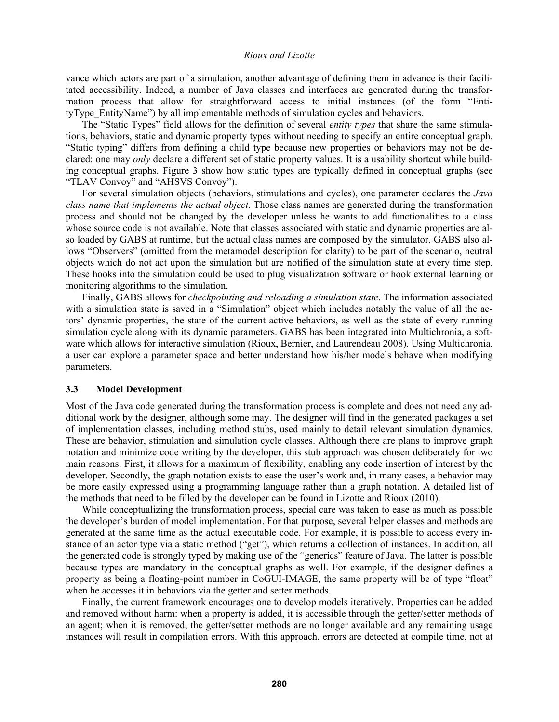vance which actors are part of a simulation, another advantage of defining them in advance is their facilitated accessibility. Indeed, a number of Java classes and interfaces are generated during the transformation process that allow for straightforward access to initial instances (of the form "EntityType EntityName") by all implementable methods of simulation cycles and behaviors.

The "Static Types" field allows for the definition of several *entity types* that share the same stimulations, behaviors, static and dynamic property types without needing to specify an entire conceptual graph. "Static typing" differs from defining a child type because new properties or behaviors may not be declared: one may *only* declare a different set of static property values. It is a usability shortcut while building conceptual graphs. Figure 3 show how static types are typically defined in conceptual graphs (see "TLAV Convoy" and "AHSVS Convoy").

For several simulation objects (behaviors, stimulations and cycles), one parameter declares the *Java class name that implements the actual object*. Those class names are generated during the transformation process and should not be changed by the developer unless he wants to add functionalities to a class whose source code is not available. Note that classes associated with static and dynamic properties are also loaded by GABS at runtime, but the actual class names are composed by the simulator. GABS also allows "Observers" (omitted from the metamodel description for clarity) to be part of the scenario, neutral objects which do not act upon the simulation but are notified of the simulation state at every time step. These hooks into the simulation could be used to plug visualization software or hook external learning or monitoring algorithms to the simulation.

Finally, GABS allows for *checkpointing and reloading a simulation state*. The information associated with a simulation state is saved in a "Simulation" object which includes notably the value of all the actors' dynamic properties, the state of the current active behaviors, as well as the state of every running simulation cycle along with its dynamic parameters. GABS has been integrated into Multichronia, a software which allows for interactive simulation (Rioux, Bernier, and Laurendeau 2008). Using Multichronia, a user can explore a parameter space and better understand how his/her models behave when modifying parameters.

## **3.3 Model Development**

Most of the Java code generated during the transformation process is complete and does not need any additional work by the designer, although some may. The designer will find in the generated packages a set of implementation classes, including method stubs, used mainly to detail relevant simulation dynamics. These are behavior, stimulation and simulation cycle classes. Although there are plans to improve graph notation and minimize code writing by the developer, this stub approach was chosen deliberately for two main reasons. First, it allows for a maximum of flexibility, enabling any code insertion of interest by the developer. Secondly, the graph notation exists to ease the user's work and, in many cases, a behavior may be more easily expressed using a programming language rather than a graph notation. A detailed list of the methods that need to be filled by the developer can be found in Lizotte and Rioux (2010).

While conceptualizing the transformation process, special care was taken to ease as much as possible the developer's burden of model implementation. For that purpose, several helper classes and methods are generated at the same time as the actual executable code. For example, it is possible to access every instance of an actor type via a static method ("get"), which returns a collection of instances. In addition, all the generated code is strongly typed by making use of the "generics" feature of Java. The latter is possible because types are mandatory in the conceptual graphs as well. For example, if the designer defines a property as being a floating-point number in CoGUI-IMAGE, the same property will be of type "float" when he accesses it in behaviors via the getter and setter methods.

Finally, the current framework encourages one to develop models iteratively. Properties can be added and removed without harm: when a property is added, it is accessible through the getter/setter methods of an agent; when it is removed, the getter/setter methods are no longer available and any remaining usage instances will result in compilation errors. With this approach, errors are detected at compile time, not at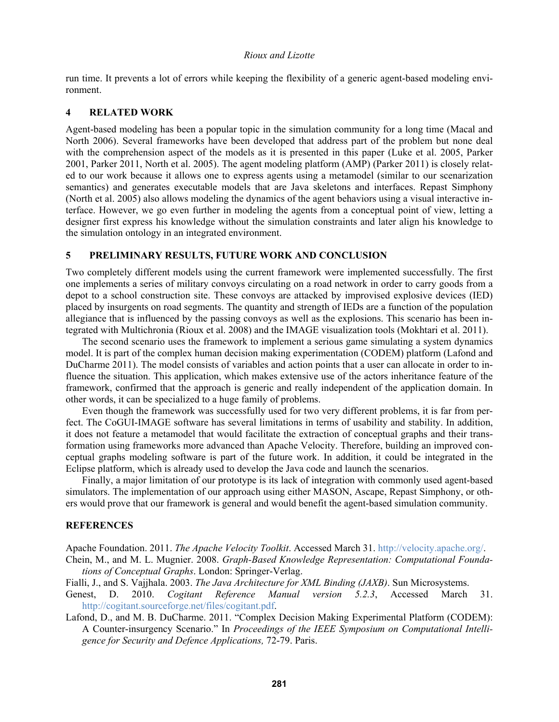run time. It prevents a lot of errors while keeping the flexibility of a generic agent-based modeling environment.

# **4 RELATED WORK**

Agent-based modeling has been a popular topic in the simulation community for a long time (Macal and North 2006). Several frameworks have been developed that address part of the problem but none deal with the comprehension aspect of the models as it is presented in this paper (Luke et al. 2005, Parker 2001, Parker 2011, North et al. 2005). The agent modeling platform (AMP) (Parker 2011) is closely related to our work because it allows one to express agents using a metamodel (similar to our scenarization semantics) and generates executable models that are Java skeletons and interfaces. Repast Simphony (North et al. 2005) also allows modeling the dynamics of the agent behaviors using a visual interactive interface. However, we go even further in modeling the agents from a conceptual point of view, letting a designer first express his knowledge without the simulation constraints and later align his knowledge to the simulation ontology in an integrated environment.

# **5 PRELIMINARY RESULTS, FUTURE WORK AND CONCLUSION**

Two completely different models using the current framework were implemented successfully. The first one implements a series of military convoys circulating on a road network in order to carry goods from a depot to a school construction site. These convoys are attacked by improvised explosive devices (IED) placed by insurgents on road segments. The quantity and strength of IEDs are a function of the population allegiance that is influenced by the passing convoys as well as the explosions. This scenario has been integrated with Multichronia (Rioux et al. 2008) and the IMAGE visualization tools (Mokhtari et al. 2011).

The second scenario uses the framework to implement a serious game simulating a system dynamics model. It is part of the complex human decision making experimentation (CODEM) platform (Lafond and DuCharme 2011). The model consists of variables and action points that a user can allocate in order to influence the situation. This application, which makes extensive use of the actors inheritance feature of the framework, confirmed that the approach is generic and really independent of the application domain. In other words, it can be specialized to a huge family of problems.

Even though the framework was successfully used for two very different problems, it is far from perfect. The CoGUI-IMAGE software has several limitations in terms of usability and stability. In addition, it does not feature a metamodel that would facilitate the extraction of conceptual graphs and their transformation using frameworks more advanced than Apache Velocity. Therefore, building an improved conceptual graphs modeling software is part of the future work. In addition, it could be integrated in the Eclipse platform, which is already used to develop the Java code and launch the scenarios.

Finally, a major limitation of our prototype is its lack of integration with commonly used agent-based simulators. The implementation of our approach using either MASON, Ascape, Repast Simphony, or others would prove that our framework is general and would benefit the agent-based simulation community.

## **REFERENCES**

Apache Foundation. 2011. *The Apache Velocity Toolkit*. Accessed March 31. http://velocity.apache.org/.

- Chein, M., and M. L. Mugnier. 2008. *Graph-Based Knowledge Representation: Computational Foundations of Conceptual Graphs*. London: Springer-Verlag.
- Fialli, J., and S. Vajjhala. 2003. *The Java Architecture for XML Binding (JAXB)*. Sun Microsystems.
- Genest, D. 2010. *Cogitant Reference Manual version 5.2.3*, Accessed March 31. http://cogitant.sourceforge.net/files/cogitant.pdf.
- Lafond, D., and M. B. DuCharme. 2011. "Complex Decision Making Experimental Platform (CODEM): A Counter-insurgency Scenario." In *Proceedings of the IEEE Symposium on Computational Intelligence for Security and Defence Applications,* 72-79. Paris.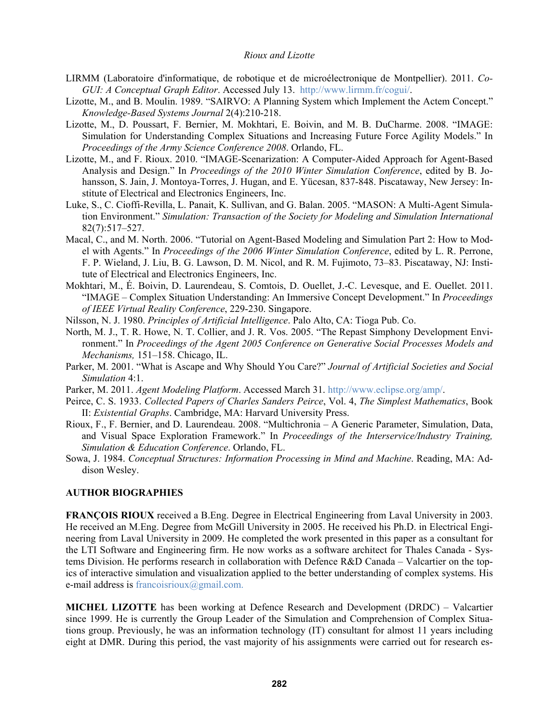- LIRMM (Laboratoire d'informatique, de robotique et de microélectronique de Montpellier). 2011. *Co-GUI: A Conceptual Graph Editor*. Accessed July 13. http://www.lirmm.fr/cogui/.
- Lizotte, M., and B. Moulin. 1989. "SAIRVO: A Planning System which Implement the Actem Concept." *Knowledge-Based Systems Journal* 2(4):210-218.
- Lizotte, M., D. Poussart, F. Bernier, M. Mokhtari, E. Boivin, and M. B. DuCharme. 2008. "IMAGE: Simulation for Understanding Complex Situations and Increasing Future Force Agility Models." In *Proceedings of the Army Science Conference 2008*. Orlando, FL.
- Lizotte, M., and F. Rioux. 2010. "IMAGE-Scenarization: A Computer-Aided Approach for Agent-Based Analysis and Design." In *Proceedings of the 2010 Winter Simulation Conference*, edited by B. Johansson, S. Jain, J. Montoya-Torres, J. Hugan, and E. Yücesan, 837-848. Piscataway, New Jersey: Institute of Electrical and Electronics Engineers, Inc.
- Luke, S., C. Cioffi-Revilla, L. Panait, K. Sullivan, and G. Balan. 2005. "MASON: A Multi-Agent Simulation Environment." *Simulation: Transaction of the Society for Modeling and Simulation International* 82(7):517–527.
- Macal, C., and M. North. 2006. "Tutorial on Agent-Based Modeling and Simulation Part 2: How to Model with Agents." In *Proceedings of the 2006 Winter Simulation Conference*, edited by L. R. Perrone, F. P. Wieland, J. Liu, B. G. Lawson, D. M. Nicol, and R. M. Fujimoto, 73–83. Piscataway, NJ: Institute of Electrical and Electronics Engineers, Inc.
- Mokhtari, M., É. Boivin, D. Laurendeau, S. Comtois, D. Ouellet, J.-C. Levesque, and E. Ouellet. 2011. "IMAGE – Complex Situation Understanding: An Immersive Concept Development." In *Proceedings of IEEE Virtual Reality Conference*, 229-230. Singapore.
- Nilsson, N. J. 1980. *Principles of Artificial Intelligence*. Palo Alto, CA: Tioga Pub. Co.
- North, M. J., T. R. Howe, N. T. Collier, and J. R. Vos. 2005. "The Repast Simphony Development Environment." In *Proceedings of the Agent 2005 Conference on Generative Social Processes Models and Mechanisms,* 151–158. Chicago, IL.
- Parker, M. 2001. "What is Ascape and Why Should You Care?" *Journal of Artificial Societies and Social Simulation* 4:1.
- Parker, M. 2011. *Agent Modeling Platform*. Accessed March 31. http://www.eclipse.org/amp/.
- Peirce, C. S. 1933. *Collected Papers of Charles Sanders Peirce*, Vol. 4, *The Simplest Mathematics*, Book II: *Existential Graphs*. Cambridge, MA: Harvard University Press.
- Rioux, F., F. Bernier, and D. Laurendeau. 2008. "Multichronia A Generic Parameter, Simulation, Data, and Visual Space Exploration Framework." In *Proceedings of the Interservice/Industry Training, Simulation & Education Conference*. Orlando, FL.
- Sowa, J. 1984. *Conceptual Structures: Information Processing in Mind and Machine*. Reading, MA: Addison Wesley.

### **AUTHOR BIOGRAPHIES**

**FRANÇOIS RIOUX** received a B.Eng. Degree in Electrical Engineering from Laval University in 2003. He received an M.Eng. Degree from McGill University in 2005. He received his Ph.D. in Electrical Engineering from Laval University in 2009. He completed the work presented in this paper as a consultant for the LTI Software and Engineering firm. He now works as a software architect for Thales Canada - Systems Division. He performs research in collaboration with Defence R&D Canada – Valcartier on the topics of interactive simulation and visualization applied to the better understanding of complex systems. His e-mail address is francoisrioux@gmail.com.

**MICHEL LIZOTTE** has been working at Defence Research and Development (DRDC) – Valcartier since 1999. He is currently the Group Leader of the Simulation and Comprehension of Complex Situations group. Previously, he was an information technology (IT) consultant for almost 11 years including eight at DMR. During this period, the vast majority of his assignments were carried out for research es-